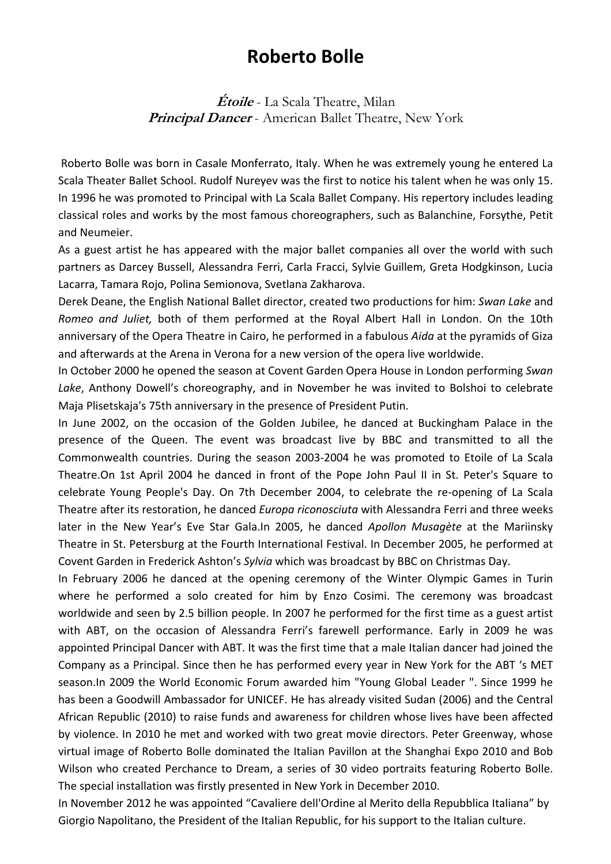## **Roberto Bolle**

**Étoile** - La Scala Theatre, Milan **Principal Dancer** - American Ballet Theatre, New York

Roberto Bolle was born in Casale Monferrato, Italy. When he was extremely young he entered La Scala Theater Ballet School. Rudolf Nureyev was the first to notice his talent when he was only 15. In 1996 he was promoted to Principal with La Scala Ballet Company. His repertory includes leading classical roles and works by the most famous choreographers, such as Balanchine, Forsythe, Petit and Neumeier.

As a guest artist he has appeared with the major ballet companies all over the world with such partners as Darcey Bussell, Alessandra Ferri, Carla Fracci, Sylvie Guillem, Greta Hodgkinson, Lucia Lacarra, Tamara Rojo, Polina Semionova, Svetlana Zakharova.

Derek Deane, the English National Ballet director, created two productions for him: *Swan Lake* and *Romeo and Juliet,* both of them performed at the Royal Albert Hall in London. On the 10th anniversary of the Opera Theatre in Cairo, he performed in a fabulous *Aida* at the pyramids of Giza and afterwards at the Arena in Verona for a new version of the opera live worldwide.

In October 2000 he opened the season at Covent Garden Opera House in London performing *Swan Lake*, Anthony Dowell's choreography, and in November he was invited to Bolshoi to celebrate Maja Plisetskaja's 75th anniversary in the presence of President Putin.

In June 2002, on the occasion of the Golden Jubilee, he danced at Buckingham Palace in the presence of the Queen. The event was broadcast live by BBC and transmitted to all the Commonwealth countries. During the season 2003‐2004 he was promoted to Etoile of La Scala Theatre.On 1st April 2004 he danced in front of the Pope John Paul II in St. Peter's Square to celebrate Young People's Day. On 7th December 2004, to celebrate the re‐opening of La Scala Theatre after its restoration, he danced *Europa riconosciuta* with Alessandra Ferri and three weeks later in the New Year's Eve Star Gala.In 2005, he danced *Apollon Musagète* at the Mariinsky Theatre in St. Petersburg at the Fourth International Festival. In December 2005, he performed at Covent Garden in Frederick Ashton's *Sylvia* which was broadcast by BBC on Christmas Day.

In February 2006 he danced at the opening ceremony of the Winter Olympic Games in Turin where he performed a solo created for him by Enzo Cosimi. The ceremony was broadcast worldwide and seen by 2.5 billion people. In 2007 he performed for the first time as a guest artist with ABT, on the occasion of Alessandra Ferri's farewell performance. Early in 2009 he was appointed Principal Dancer with ABT. It was the first time that a male Italian dancer had joined the Company as a Principal. Since then he has performed every year in New York for the ABT 's MET season.In 2009 the World Economic Forum awarded him "Young Global Leader ". Since 1999 he has been a Goodwill Ambassador for UNICEF. He has already visited Sudan (2006) and the Central African Republic (2010) to raise funds and awareness for children whose lives have been affected by violence. In 2010 he met and worked with two great movie directors. Peter Greenway, whose virtual image of Roberto Bolle dominated the Italian Pavillon at the Shanghai Expo 2010 and Bob Wilson who created Perchance to Dream, a series of 30 video portraits featuring Roberto Bolle. The special installation was firstly presented in New York in December 2010.

In November 2012 he was appointed "Cavaliere dell'Ordine al Merito della Repubblica Italiana" by Giorgio Napolitano, the President of the Italian Republic, for his support to the Italian culture.